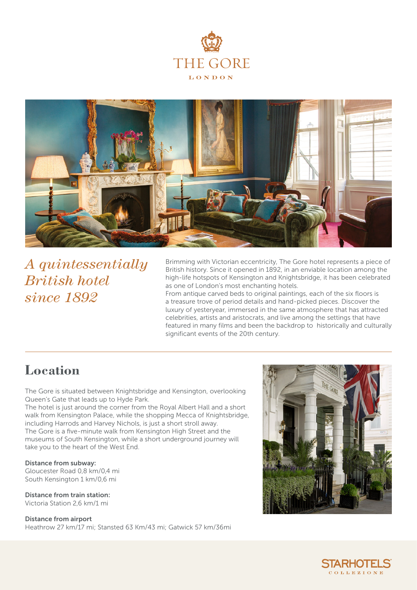



*A quintessentially British hotel since 1892*

Brimming with Victorian eccentricity, The Gore hotel represents a piece of British history. Since it opened in 1892, in an enviable location among the high-life hotspots of Kensington and Knightsbridge, it has been celebrated as one of London's most enchanting hotels.

From antique carved beds to original paintings, each of the six floors is a treasure trove of period details and hand-picked pieces. Discover the luxury of yesteryear, immersed in the same atmosphere that has attracted celebrities, artists and aristocrats, and live among the settings that have featured in many films and been the backdrop to historically and culturally significant events of the 20th century.

## **Location**

The Gore is situated between Knightsbridge and Kensington, overlooking Queen's Gate that leads up to Hyde Park.

The hotel is just around the corner from the Royal Albert Hall and a short walk from Kensington Palace, while the shopping Mecca of Knightsbridge, including Harrods and Harvey Nichols, is just a short stroll away. The Gore is a five-minute walk from Kensington High Street and the museums of South Kensington, while a short underground journey will take you to the heart of the West End.

Distance from subway: Gloucester Road 0,8 km/0,4 mi South Kensington 1 km/0,6 mi

Distance from train station: Victoria Station 2,6 km/1 mi

Distance from airport

Heathrow 27 km/17 mi; Stansted 63 Km/43 mi; Gatwick 57 km/36mi